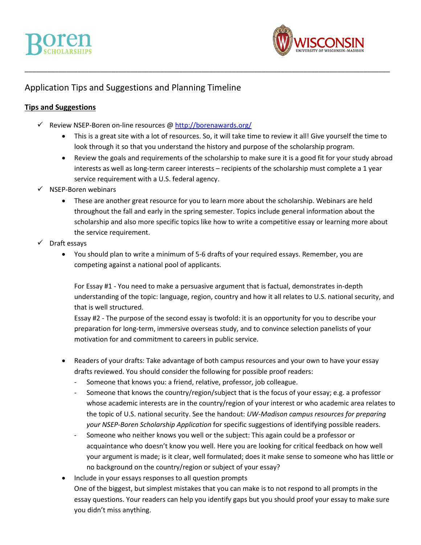

## Application Tips and Suggestions and Planning Timeline

### **Tips and Suggestions**

- $\checkmark$  Review NSEP-Boren on-line resources [@ http://borenawards.org/](http://borenawards.org/)
	- This is a great site with a lot of resources. So, it will take time to review it all! Give yourself the time to look through it so that you understand the history and purpose of the scholarship program.

\_\_\_\_\_\_\_\_\_\_\_\_\_\_\_\_\_\_\_\_\_\_\_\_\_\_\_\_\_\_\_\_\_\_\_\_\_\_\_\_\_\_\_\_\_\_\_\_\_\_\_\_\_\_\_\_\_\_\_\_\_\_\_\_\_\_\_\_\_\_\_\_\_\_\_\_\_\_\_\_\_\_\_\_\_\_\_\_\_\_\_\_\_\_\_\_\_

- Review the goals and requirements of the scholarship to make sure it is a good fit for your study abroad interests as well as long-term career interests – recipients of the scholarship must complete a 1 year service requirement with a U.S. federal agency.
- $\checkmark$  NSEP-Boren webinars
	- These are another great resource for you to learn more about the scholarship. Webinars are held throughout the fall and early in the spring semester. Topics include general information about the scholarship and also more specific topics like how to write a competitive essay or learning more about the service requirement.
- $\checkmark$  Draft essays
	- You should plan to write a minimum of 5-6 drafts of your required essays. Remember, you are competing against a national pool of applicants.

For Essay #1 - You need to make a persuasive argument that is factual, demonstrates in-depth understanding of the topic: language, region, country and how it all relates to U.S. national security, and that is well structured.

Essay #2 - The purpose of the second essay is twofold: it is an opportunity for you to describe your preparation for long-term, immersive overseas study, and to convince selection panelists of your motivation for and commitment to careers in public service.

- Readers of your drafts: Take advantage of both campus resources and your own to have your essay drafts reviewed. You should consider the following for possible proof readers:
	- Someone that knows you: a friend, relative, professor, job colleague.
	- Someone that knows the country/region/subject that is the focus of your essay; e.g. a professor whose academic interests are in the country/region of your interest or who academic area relates to the topic of U.S. national security. See the handout: *UW-Madison campus resources for preparing your NSEP-Boren Scholarship Application* for specific suggestions of identifying possible readers.
	- Someone who neither knows you well or the subject: This again could be a professor or acquaintance who doesn't know you well. Here you are looking for critical feedback on how well your argument is made; is it clear, well formulated; does it make sense to someone who has little or no background on the country/region or subject of your essay?
- Include in your essays responses to all question prompts One of the biggest, but simplest mistakes that you can make is to not respond to all prompts in the essay questions. Your readers can help you identify gaps but you should proof your essay to make sure you didn't miss anything.